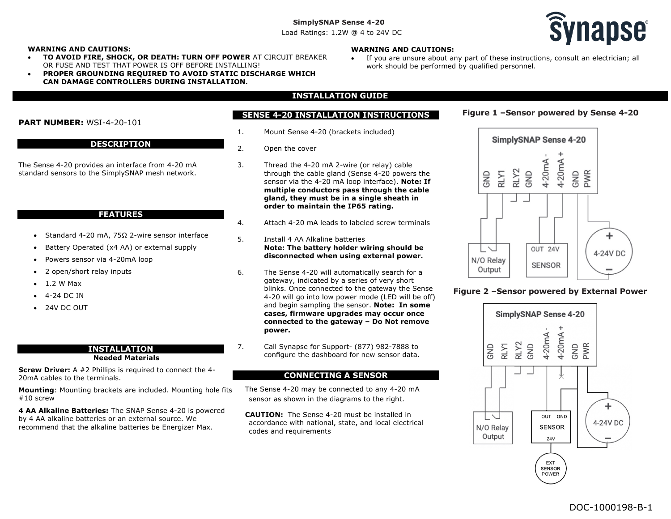Load Ratings: 1.2W @ 4 to 24V DC



#### **WARNING AND CAUTIONS:**

- **TO AVOID FIRE, SHOCK, OR DEATH: TURN OFF POWER** AT CIRCUIT BREAKER OR FUSE AND TEST THAT POWER IS OFF BEFORE INSTALLING!
- **PROPER GROUNDING REQUIRED TO AVOID STATIC DISCHARGE WHICH CAN DAMAGE CONTROLLERS DURING INSTALLATION.**

## **WARNING AND CAUTIONS:**

- If you are unsure about any part of these instructions, consult an electrician; all work should be performed by qualified personnel.
- **INSTALLATION GUIDE**

## **SENSE 4-20 INSTALLATION INSTRUCTIONS**

- 1. Mount Sense 4-20 (brackets included)
- 2. Open the cover
- 3. Thread the 4-20 mA 2-wire (or relay) cable through the cable gland (Sense 4-20 powers the sensor via the 4-20 mA loop interface). **Note: If multiple conductors pass through the cable gland, they must be in a single sheath in order to maintain the IP65 rating.**
- 4. Attach 4-20 mA leads to labeled screw terminals
- 5. Install 4 AA Alkaline batteries **Note: The battery holder wiring should be disconnected when using external power.**
- 6. The Sense 4-20 will automatically search for a gateway, indicated by a series of very short blinks. Once connected to the gateway the Sense 4-20 will go into low power mode (LED will be off) and begin sampling the sensor. **Note: In some cases, firmware upgrades may occur once connected to the gateway – Do Not remove power.**
- 7. Call Synapse for Support- (877) 982-7888 to configure the dashboard for new sensor data.

## **CONNECTING A SENSOR**

The Sense 4-20 may be connected to any 4-20 mA sensor as shown in the diagrams to the right.

**CAUTION:** The Sense 4-20 must be installed in accordance with national, state, and local electrical codes and requirements



**Figure 1 –Sensor powered by Sense 4-20**

## **Figure 2 –Sensor powered by External Power**



# **PART NUMBER:** WSI-4-20-101

#### **DESCRIPTION**

The Sense 4-20 provides an interface from 4-20 mA standard sensors to the SimplySNAP mesh network.

#### **FEATURES**

- Standard 4-20 mA, 75Ω 2-wire sensor interface
- Battery Operated (x4 AA) or external supply
- Powers sensor via 4-20mA loop
- 2 open/short relay inputs
- $\bullet$  1.2 W Max
- 4-24 DC IN
- 24V DC OUT

#### **INSTALLATION Needed Materials**

**Screw Driver:** A #2 Phillips is required to connect the 4- 20mA cables to the terminals.

**Mounting**: Mounting brackets are included. Mounting hole fits #10 screw

**4 AA Alkaline Batteries:** The SNAP Sense 4-20 is powered by 4 AA alkaline batteries or an external source. We recommend that the alkaline batteries be Energizer Max.